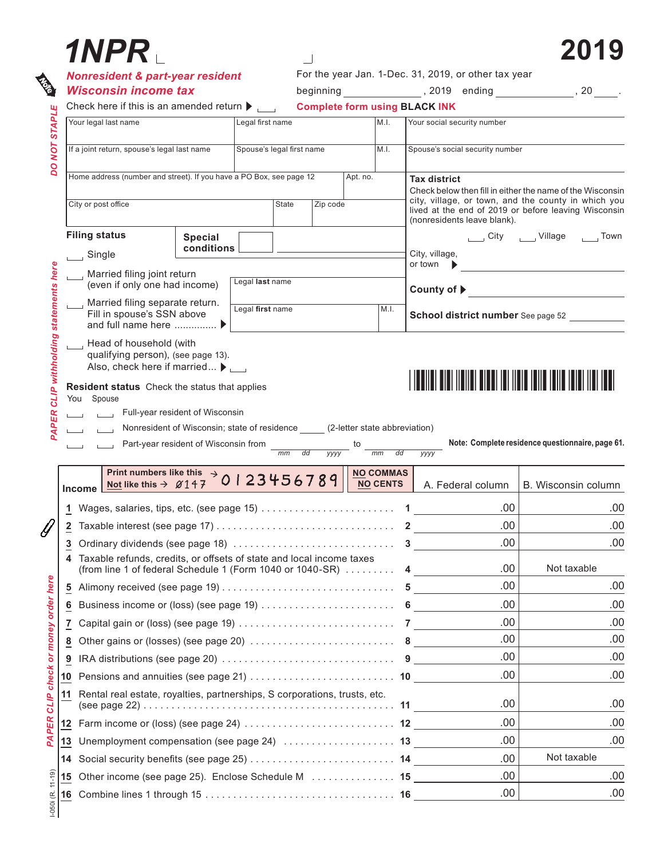| 1NPR .                                                                                                                            |                                                                          |                  |                                                      |                                                                                                                |                        |      |                                                                                                                                                                                                                                |                             | 2019                                             |  |
|-----------------------------------------------------------------------------------------------------------------------------------|--------------------------------------------------------------------------|------------------|------------------------------------------------------|----------------------------------------------------------------------------------------------------------------|------------------------|------|--------------------------------------------------------------------------------------------------------------------------------------------------------------------------------------------------------------------------------|-----------------------------|--------------------------------------------------|--|
| <b>Nonresident &amp; part-year resident</b><br><b>Wisconsin income tax</b>                                                        |                                                                          |                  | For the year Jan. 1-Dec. 31, 2019, or other tax year |                                                                                                                |                        |      |                                                                                                                                                                                                                                |                             |                                                  |  |
|                                                                                                                                   |                                                                          |                  |                                                      | beginning 1999, 2019 ending 1999, 2019 and the set of the set of the set of the set of the set of the set of t |                        |      |                                                                                                                                                                                                                                |                             |                                                  |  |
| Check here if this is an amended return $\blacktriangleright$                                                                     |                                                                          |                  |                                                      |                                                                                                                |                        |      | <b>Complete form using BLACK INK</b>                                                                                                                                                                                           |                             |                                                  |  |
| Your legal last name                                                                                                              | Legal first name                                                         |                  |                                                      |                                                                                                                |                        | M.I. |                                                                                                                                                                                                                                | Your social security number |                                                  |  |
|                                                                                                                                   | Spouse's legal first name<br>If a joint return, spouse's legal last name |                  |                                                      | M.I.                                                                                                           |                        |      | Spouse's social security number                                                                                                                                                                                                |                             |                                                  |  |
| Home address (number and street). If you have a PO Box, see page 12                                                               |                                                                          |                  |                                                      | Apt. no.                                                                                                       |                        |      | <b>Tax district</b><br>Check below then fill in either the name of the Wisconsin<br>city, village, or town, and the county in which you<br>lived at the end of 2019 or before leaving Wisconsin<br>(nonresidents leave blank). |                             |                                                  |  |
|                                                                                                                                   |                                                                          |                  |                                                      |                                                                                                                |                        |      |                                                                                                                                                                                                                                |                             |                                                  |  |
|                                                                                                                                   | City or post office                                                      |                  |                                                      | <b>State</b><br>Zip code                                                                                       |                        |      |                                                                                                                                                                                                                                |                             |                                                  |  |
| <b>Filing status</b>                                                                                                              | <b>Special</b>                                                           |                  |                                                      |                                                                                                                |                        |      |                                                                                                                                                                                                                                |                             | City _____ Village _____ Town                    |  |
| $\Box$ Single                                                                                                                     | conditions                                                               |                  |                                                      |                                                                                                                |                        |      | City, village,<br>or town                                                                                                                                                                                                      |                             |                                                  |  |
| $\Box$ Married filing joint return                                                                                                |                                                                          | Legal last name  |                                                      |                                                                                                                |                        |      |                                                                                                                                                                                                                                |                             |                                                  |  |
| (even if only one had income)                                                                                                     |                                                                          |                  |                                                      |                                                                                                                |                        |      | County of ▶ <u>─────────</u> ───────                                                                                                                                                                                           |                             |                                                  |  |
| Married filing separate return.<br>Fill in spouse's SSN above<br>and full name here  ▶                                            |                                                                          | Legal first name |                                                      |                                                                                                                |                        | M.I. |                                                                                                                                                                                                                                |                             | School district number See page 52               |  |
| You Spouse<br>Full-year resident of Wisconsin<br>Nonresident of Wisconsin; state of residence (2-letter state abbreviation)       |                                                                          |                  |                                                      |                                                                                                                |                        |      |                                                                                                                                                                                                                                |                             |                                                  |  |
|                                                                                                                                   | Part-year resident of Wisconsin from $\frac{1}{\text{mm}}$ dd            |                  |                                                      | <b>YYYY</b>                                                                                                    | mm<br><b>NO COMMAS</b> | dd   | <b>YYYY</b>                                                                                                                                                                                                                    |                             | Note: Complete residence questionnaire, page 61. |  |
|                                                                                                                                   | Print numbers like this $\rightarrow$ 0 1 2 3 4 5 6 7 8 9                |                  |                                                      |                                                                                                                | <b>NO CENTS</b>        |      |                                                                                                                                                                                                                                | A. Federal column           | B. Wisconsin column                              |  |
|                                                                                                                                   |                                                                          |                  |                                                      |                                                                                                                |                        |      |                                                                                                                                                                                                                                | .00.                        |                                                  |  |
|                                                                                                                                   |                                                                          |                  |                                                      |                                                                                                                |                        |      |                                                                                                                                                                                                                                | .00                         |                                                  |  |
|                                                                                                                                   |                                                                          |                  |                                                      |                                                                                                                |                        |      |                                                                                                                                                                                                                                | .00.                        |                                                  |  |
| Taxable refunds, credits, or offsets of state and local income taxes<br>(from line 1 of federal Schedule 1 (Form 1040 or 1040-SR) |                                                                          |                  |                                                      |                                                                                                                |                        |      | 4 $\qquad$                                                                                                                                                                                                                     | .00                         | Not taxable                                      |  |
|                                                                                                                                   |                                                                          |                  |                                                      |                                                                                                                |                        |      |                                                                                                                                                                                                                                | .00.                        |                                                  |  |
|                                                                                                                                   |                                                                          |                  |                                                      |                                                                                                                |                        |      |                                                                                                                                                                                                                                | .00.                        |                                                  |  |
| 2<br>3<br>4<br>5<br>6<br>7                                                                                                        |                                                                          |                  |                                                      |                                                                                                                |                        |      |                                                                                                                                                                                                                                | .00.                        |                                                  |  |
|                                                                                                                                   |                                                                          |                  |                                                      |                                                                                                                |                        |      |                                                                                                                                                                                                                                | .00.                        |                                                  |  |
| 8<br>IRA distributions (see page 20) $\ldots \ldots \ldots \ldots \ldots \ldots \ldots \ldots$ 9<br>9                             |                                                                          |                  |                                                      |                                                                                                                |                        |      |                                                                                                                                                                                                                                | .00.                        |                                                  |  |
|                                                                                                                                   |                                                                          |                  |                                                      |                                                                                                                |                        |      |                                                                                                                                                                                                                                | .00.                        |                                                  |  |
| Rental real estate, royalties, partnerships, S corporations, trusts, etc.                                                         |                                                                          |                  |                                                      |                                                                                                                |                        |      |                                                                                                                                                                                                                                |                             |                                                  |  |
|                                                                                                                                   |                                                                          |                  |                                                      |                                                                                                                |                        |      |                                                                                                                                                                                                                                | .00                         |                                                  |  |
|                                                                                                                                   |                                                                          |                  |                                                      |                                                                                                                |                        |      |                                                                                                                                                                                                                                | .00.                        |                                                  |  |
|                                                                                                                                   |                                                                          |                  |                                                      |                                                                                                                |                        |      |                                                                                                                                                                                                                                | .00                         |                                                  |  |
| <b>Income</b><br>10<br>11<br>13<br>Other income (see page 25). Enclose Schedule M  15<br>15                                       |                                                                          |                  |                                                      |                                                                                                                |                        |      |                                                                                                                                                                                                                                | .00<br>.00.                 | Not taxable                                      |  |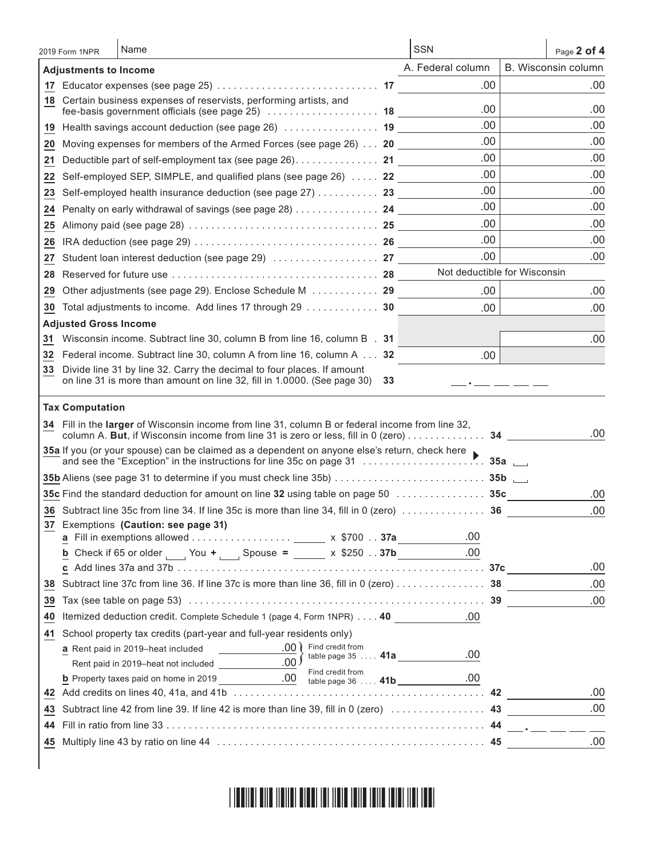|    | 2019 Form 1NPR               | Name                                                                                                                                                                                         | <b>SSN</b>        | Page 2 of 4                  |
|----|------------------------------|----------------------------------------------------------------------------------------------------------------------------------------------------------------------------------------------|-------------------|------------------------------|
|    | <b>Adjustments to Income</b> |                                                                                                                                                                                              | A. Federal column | B. Wisconsin column          |
|    |                              |                                                                                                                                                                                              | .00               | .00                          |
| 18 |                              | Certain business expenses of reservists, performing artists, and<br>fee-basis government officials (see page 25)  18                                                                         | .00               | .00                          |
| 19 |                              | Health savings account deduction (see page 26)  19                                                                                                                                           | .00               | .00                          |
| 20 |                              | Moving expenses for members of the Armed Forces (see page 26) 20                                                                                                                             | .00               | .00                          |
| 21 |                              | Deductible part of self-employment tax (see page 26). 21                                                                                                                                     | .00               | .00                          |
| 22 |                              | Self-employed SEP, SIMPLE, and qualified plans (see page 26)  22                                                                                                                             | .00               | .00                          |
| 23 |                              | Self-employed health insurance deduction (see page 27) 23                                                                                                                                    | .00               | .00                          |
| 24 |                              | Penalty on early withdrawal of savings (see page 28) 24                                                                                                                                      | .00               | .00                          |
| 25 |                              |                                                                                                                                                                                              | .00               | .00                          |
| 26 |                              |                                                                                                                                                                                              | .00.              | .00                          |
| 27 |                              |                                                                                                                                                                                              | .00               | .00                          |
| 28 |                              |                                                                                                                                                                                              |                   | Not deductible for Wisconsin |
| 29 |                              | Other adjustments (see page 29). Enclose Schedule M 29                                                                                                                                       | .00               | .00                          |
| 30 |                              | Total adjustments to income. Add lines 17 through 29  30                                                                                                                                     | .00               | .00                          |
|    | <b>Adjusted Gross Income</b> |                                                                                                                                                                                              |                   |                              |
| 31 |                              | Wisconsin income. Subtract line 30, column B from line 16, column B . 31                                                                                                                     |                   | .00                          |
| 32 |                              | Federal income. Subtract line 30, column A from line 16, column A 32                                                                                                                         | .00               |                              |
| 33 |                              | Divide line 31 by line 32. Carry the decimal to four places. If amount<br>on line 31 is more than amount on line 32, fill in 1.0000. (See page 30)<br>33                                     |                   |                              |
|    | <b>Tax Computation</b>       |                                                                                                                                                                                              |                   |                              |
|    |                              | 34 Fill in the larger of Wisconsin income from line 31, column B or federal income from line 32,<br>column A. But, if Wisconsin income from line 31 is zero or less, fill in 0 (zero) 34 ___ |                   | .00                          |
|    |                              | 35a If you (or your spouse) can be claimed as a dependent on anyone else's return, check here                                                                                                |                   |                              |
|    |                              |                                                                                                                                                                                              |                   |                              |
|    |                              | 35c Find the standard deduction for amount on line 32 using table on page 50 $\ldots \ldots \ldots \ldots$ .                                                                                 |                   | .00                          |
|    |                              | 36 Subtract line 35c from line 34. If line 35c is more than line 34, fill in 0 (zero)  36                                                                                                    |                   | .00                          |
|    |                              | 37 Exemptions (Caution: see page 31)                                                                                                                                                         | .00               |                              |
|    |                              | <b>b</b> Check if 65 or older $\frac{1}{2}$ You + $\frac{1}{2}$ Spouse = $\frac{1}{2}$ x \$250 37b                                                                                           | .00               |                              |
|    |                              |                                                                                                                                                                                              |                   | .00                          |
| 38 |                              | Subtract line 37c from line 36. If line 37c is more than line 36, fill in 0 (zero) 38                                                                                                        |                   | .00                          |
| 39 |                              |                                                                                                                                                                                              |                   | .00                          |
| 40 |                              | Itemized deduction credit. Complete Schedule 1 (page 4, Form 1NPR) 40 . 00                                                                                                                   |                   |                              |
| 41 |                              | School property tax credits (part-year and full-year residents only)                                                                                                                         |                   |                              |
|    |                              | a Rent paid in 2019-heat included                                                                                                                                                            |                   |                              |
|    |                              | table page 35  41a                                                                                                                                                                           | .00               |                              |
|    |                              | Find credit from                                                                                                                                                                             | .00               |                              |
|    |                              |                                                                                                                                                                                              |                   | .00                          |
| 43 |                              |                                                                                                                                                                                              |                   | .00                          |
| 44 |                              |                                                                                                                                                                                              |                   |                              |
|    |                              |                                                                                                                                                                                              |                   | .00                          |
|    |                              |                                                                                                                                                                                              |                   |                              |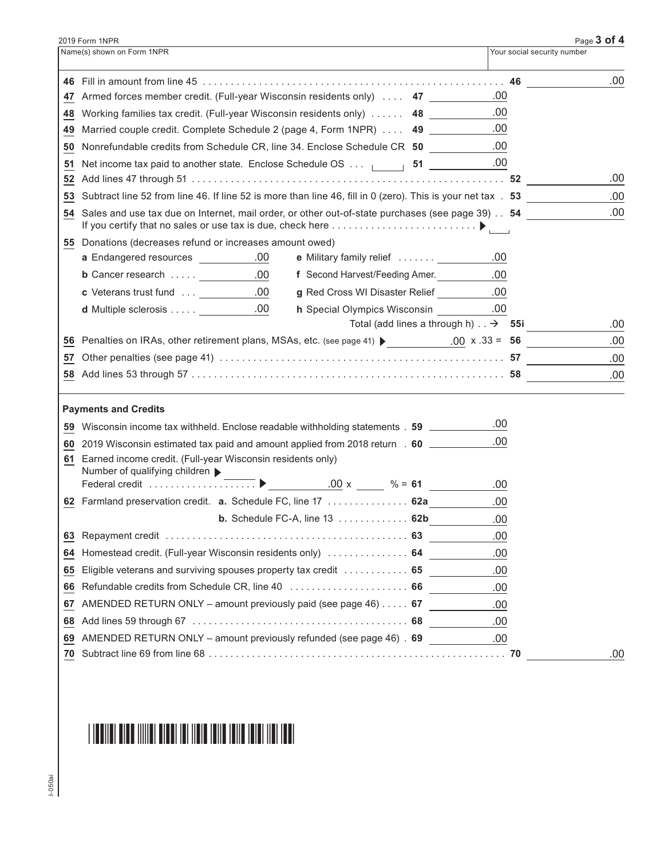|    | 2019 Form 1NPR                                                                                                 |                             | Page 3 of 4 |
|----|----------------------------------------------------------------------------------------------------------------|-----------------------------|-------------|
|    | Name(s) shown on Form 1NPR                                                                                     | Your social security number |             |
|    |                                                                                                                |                             | .00         |
|    | 47 Armed forces member credit. (Full-year Wisconsin residents only)  47                                        | .00                         |             |
|    | 48 Working families tax credit. (Full-year Wisconsin residents only) 48                                        | .00                         |             |
|    | 49 Married couple credit. Complete Schedule 2 (page 4, Form 1NPR)  49                                          | .00                         |             |
|    | 50 Nonrefundable credits from Schedule CR, line 34. Enclose Schedule CR 50 ___________.00                      |                             |             |
| 51 | Net income tax paid to another state. Enclose Schedule OS 51 _________________00                               |                             |             |
|    |                                                                                                                |                             | .00         |
|    | 53 Subtract line 52 from line 46. If line 52 is more than line 46, fill in 0 (zero). This is your net tax . 53 |                             | .00         |
|    | 54 Sales and use tax due on Internet, mail order, or other out-of-state purchases (see page 39) 54             |                             | .00         |
|    | 55 Donations (decreases refund or increases amount owed)                                                       |                             |             |
|    | <b>a</b> Endangered resources __________.00<br>e Military family relief                                        | .00                         |             |
|    | f Second Harvest/Feeding Amer.<br><b>b</b> Cancer research $\ldots$ $\ldots$ .00                               | 0.00                        |             |
|    | <b>c</b> Veterans trust fund  100<br>g Red Cross WI Disaster Relief ____________00                             |                             |             |
|    | <b>d</b> Multiple sclerosis $\ldots$ $\ldots$ .00<br>h Special Olympics Wisconsin .00                          |                             |             |
|    | Total (add lines a through h) $\therefore$ $\rightarrow$ 55i                                                   |                             | .00         |
|    | 56 Penalties on IRAs, other retirement plans, MSAs, etc. (see page 41) $\bullet$ 00 x .33 = 56                 |                             | .00         |
|    |                                                                                                                |                             | .00         |
|    |                                                                                                                |                             | .00         |
|    | <b>Payments and Credits</b>                                                                                    |                             |             |
| 59 | Wisconsin income tax withheld. Enclose readable withholding statements . 59 ________                           | .00                         |             |
|    | 60 2019 Wisconsin estimated tax paid and amount applied from 2018 return . 60 ________                         | .00.                        |             |
|    | 61 Earned income credit. (Full-year Wisconsin residents only)                                                  |                             |             |
|    | Number of qualifying children $\blacktriangleright$<br>$.00 \times 96 = 61$                                    |                             |             |
|    |                                                                                                                | .00                         |             |
|    | 62 Farmland preservation credit. a. Schedule FC, line 17 62a                                                   | .00                         |             |
|    | <b>b.</b> Schedule FC-A, line $13$ 62b                                                                         | .00                         |             |
|    |                                                                                                                | .00                         |             |
| 64 | Homestead credit. (Full-year Wisconsin residents only)  64                                                     | .00                         |             |
| 65 | Eligible veterans and surviving spouses property tax credit  65                                                | .00                         |             |
| 66 | Refundable credits from Schedule CR, line 40  66                                                               | .00                         |             |
| 67 | AMENDED RETURN ONLY - amount previously paid (see page 46) 67                                                  | .00                         |             |
| 68 |                                                                                                                | .00                         |             |
|    | 69 AMENDED RETURN ONLY - amount previously refunded (see page 46) . 69 . 00                                    |                             |             |
|    |                                                                                                                |                             | .00         |

##